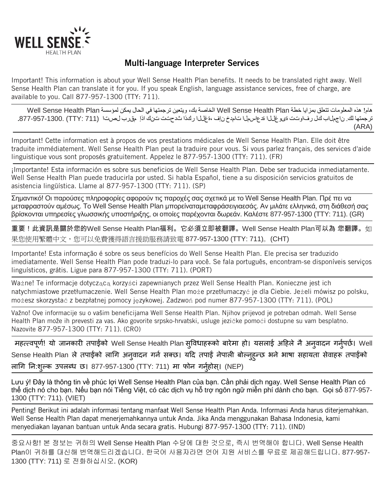

## Multi-language Interpreter Services

Important! This information is about your Well Sense Health Plan benefits. It needs to be translated right away. Well Sense Health Plan can translate it for you. If you speak English, language assistance services, free of charge, are available to you. Call 877-957-1300 (TTY: 711).

ھام! ھذه المعلومات تتعلق بمزایا خطة Plan Health Sense Well الخاصة بك، ویتعین ترجمتھا في الحال یمكن لمؤسسة Plan Health Sense Well ترجمتها لك. ناجملاب كل رفاوتت ةيوغللا ةدعاسملا تامدخ نإف ،ةغللا ركذا شدحتت تنك اذإ مقرب لصتا (711 :TTY (.711) ل (ARA)

Important! Cette information est à propos de vos prestations médicales de Well Sense Health Plan. Elle doit être traduite immédiatement. Well Sense Health Plan peut la traduire pour vous. Si vous parlez français, des services d'aide linguistique vous sont proposés gratuitement. Appelez le 877-957-1300 (TTY: 711). (FR)

¡Importante! Esta información es sobre sus beneficios de Well Sense Health Plan. Debe ser traducida inmediatamente. Well Sense Health Plan puede traducirla por usted. Si habla Español, tiene a su disposición servicios gratuitos de asistencia lingüística. Llame al 877-957-1300 (TTY: 711). (SP)

Σημαντικό! Οι παρούσες πληροφορίες αφορούν τις παροχές σας σχετικά με το Well Sense Health Plan. Πρέ πει να μεταφραστούν αμέσως. Το Well Sense Health Plan μπορείναταμεταφράσειγιαεσάς. Αν μιλάτε ελληνικά, στη διάθεσή σας βρίσκονται υπηρεσίες γλωσσικής υποστήριξης, οι οποίες παρέχονται δωρεάν. Καλέστε 877-957-1300 (TTY: 711). (GR)

重要!此資訊是關於您的Well Sense Health Plan福利。它必須立即被翻譯。Well Sense Health Plan可以為 您翻譯。如 果您使用繁體中文,您可以免費獲得語言援助服務請致電 877-957-1300 (TTY: 711)。(CHT)

Importante! Esta informação é sobre os seus benefícios do Well Sense Health Plan. Ele precisa ser traduzido imediatamente. Well Sense Health Plan pode traduzi-lo para você. Se fala português, encontram-se disponíveis serviços linguísticos, grátis. Ligue para 877-957-1300 (TTY: 711). (PORT)

Ważne! Te informacje dotyczącą korzyści zapewnianych przez Well Sense Health Plan. Konieczne jest ich natychmiastowe przetłumaczenie. Well Sense Health Plan może przetłumaczyć je dla Ciebie. Jeżeli mówisz po polsku, możesz skorzystać z bezpłatnej pomocy językowej. Zadzwoń pod numer 877-957-1300 (TTY: 711). (POL)

Važno! Ove informacije su o vašim beneficijama Well Sense Health Plan. Njihov prijevod je potreban odmah. Well Sense Health Plan može ih prevesti za vas. Ako govorite srpsko-hrvatski, usluge jezičke pomoći dostupne su vam besplatno. Nazovite 877-957-1300 (TTY: 711). (CRO)

महत्त्वपूर्ण! यो जानकारी तपाईको Well Sense Health Plan सुविधाहरूको बारेमा हो। यसलाई अहिले नै अनुवादन गर्नुपर्छ। Well Sense Health Plan ले तपाईको लागि अनुवादन गर्न सक्छ। यदि तपाई नेपाली बोल्नुहुन्छ भने भाषा सहायता सेवाहरू तपाईको लागि नि:शुल्क उपलब्ध छ। 877-957-1300 (TTY: 711) मा फोन गर्नुहोस्। (NEP)

Lưu ý! Đây là thông tin về phúc lợi Well Sense Health Plan của ban. Cần phải dịch ngay. Well Sense Health Plan có thể dịch nó cho bạn. Nếu bạn nói Tiếng Việt, có các dịch vụ hỗ trợ ngôn ngữ miễn phí dành cho bạn. Gọi số 877-957- 1300 (TTY: 711). (VIET)

Penting! Berikut ini adalah informasi tentang manfaat Well Sense Health Plan Anda. Informasi Anda harus diterjemahkan. Well Sense Health Plan dapat menerjemahkannya untuk Anda. Jika Anda menggunakan Bahasa Indonesia, kami menyediakan layanan bantuan untuk Anda secara gratis. Hubungi 877-957-1300 (TTY: 711). (IND)

중요사항! 본 정보는 귀하의 Well Sense Health Plan 수당에 대한 것으로, 즉시 번역해야 합니다. Well Sense Health Plan이 귀하를 대신해 번역해드리겠습니다. 한국어 사용자라면 언어 지원 서비스를 무료로 제공해드립니다. 877-957- 1300 (TTY: 711) 로 전화하십시오. (KOR)